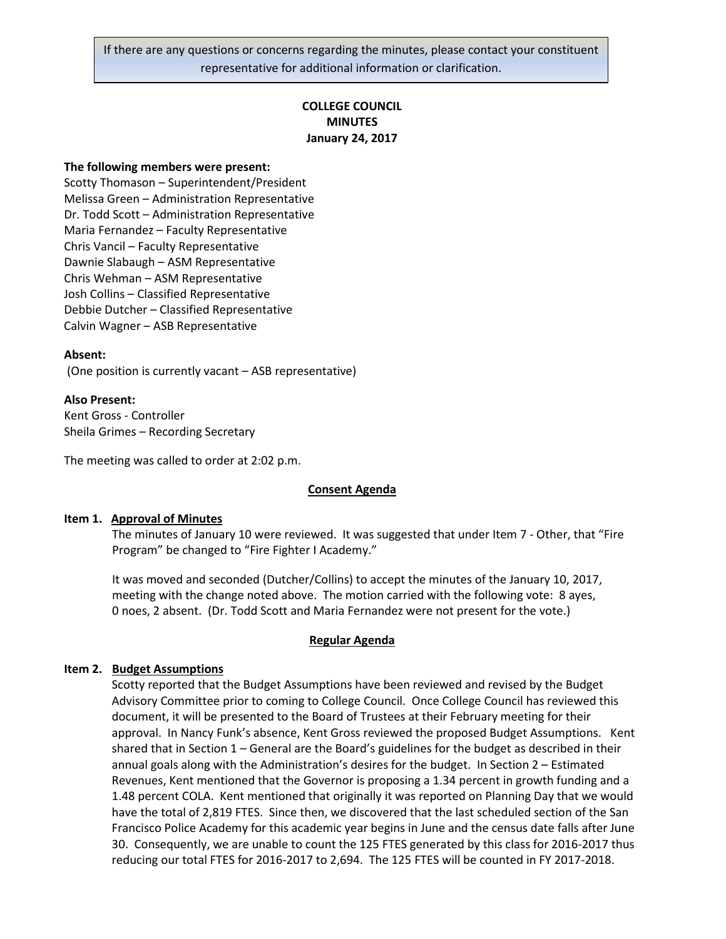If there are any questions or concerns regarding the minutes, please contact your constituent representative for additional information or clarification.

# **COLLEGE COUNCIL MINUTES January 24, 2017**

#### **The following members were present:**

Scotty Thomason – Superintendent/President Melissa Green – Administration Representative Dr. Todd Scott – Administration Representative Maria Fernandez – Faculty Representative Chris Vancil – Faculty Representative Dawnie Slabaugh – ASM Representative Chris Wehman – ASM Representative Josh Collins – Classified Representative Debbie Dutcher – Classified Representative Calvin Wagner – ASB Representative

#### **Absent:**

(One position is currently vacant – ASB representative)

#### **Also Present:**

Kent Gross - Controller Sheila Grimes – Recording Secretary

The meeting was called to order at 2:02 p.m.

#### **Consent Agenda**

#### **Item 1. Approval of Minutes**

The minutes of January 10 were reviewed. It was suggested that under Item 7 - Other, that "Fire Program" be changed to "Fire Fighter I Academy."

It was moved and seconded (Dutcher/Collins) to accept the minutes of the January 10, 2017, meeting with the change noted above. The motion carried with the following vote: 8 ayes, 0 noes, 2 absent. (Dr. Todd Scott and Maria Fernandez were not present for the vote.)

#### **Regular Agenda**

#### **Item 2. Budget Assumptions**

Scotty reported that the Budget Assumptions have been reviewed and revised by the Budget Advisory Committee prior to coming to College Council. Once College Council has reviewed this document, it will be presented to the Board of Trustees at their February meeting for their approval. In Nancy Funk's absence, Kent Gross reviewed the proposed Budget Assumptions. Kent shared that in Section 1 – General are the Board's guidelines for the budget as described in their annual goals along with the Administration's desires for the budget. In Section 2 – Estimated Revenues, Kent mentioned that the Governor is proposing a 1.34 percent in growth funding and a 1.48 percent COLA. Kent mentioned that originally it was reported on Planning Day that we would have the total of 2,819 FTES. Since then, we discovered that the last scheduled section of the San Francisco Police Academy for this academic year begins in June and the census date falls after June 30. Consequently, we are unable to count the 125 FTES generated by this class for 2016-2017 thus reducing our total FTES for 2016-2017 to 2,694. The 125 FTES will be counted in FY 2017-2018.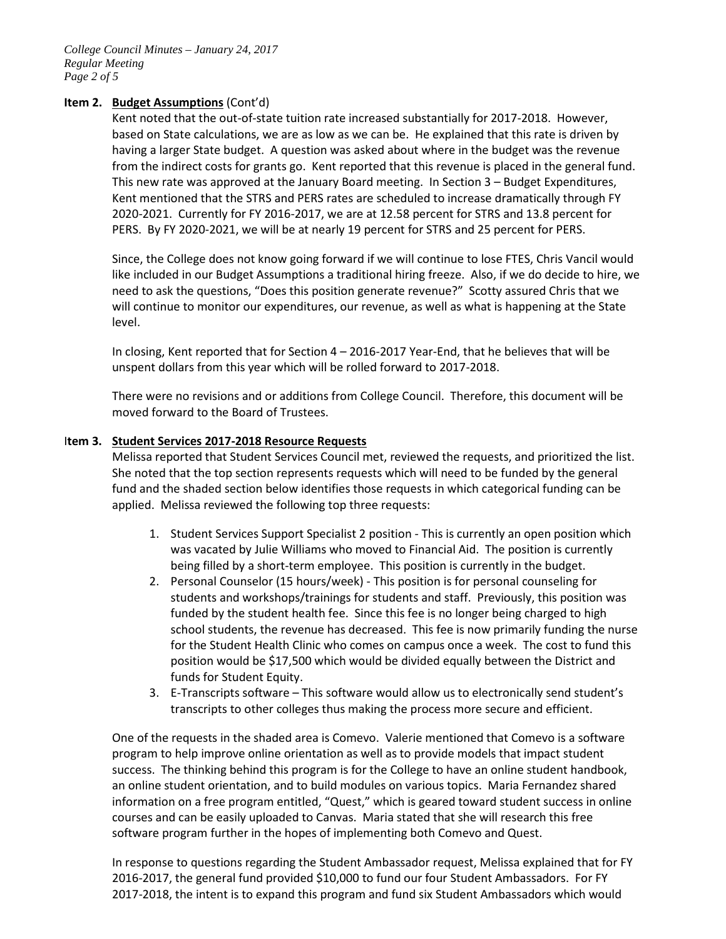*College Council Minutes – January 24, 2017 Regular Meeting Page 2 of 5*

# **Item 2. Budget Assumptions** (Cont'd)

Kent noted that the out-of-state tuition rate increased substantially for 2017-2018. However, based on State calculations, we are as low as we can be. He explained that this rate is driven by having a larger State budget. A question was asked about where in the budget was the revenue from the indirect costs for grants go. Kent reported that this revenue is placed in the general fund. This new rate was approved at the January Board meeting. In Section 3 – Budget Expenditures, Kent mentioned that the STRS and PERS rates are scheduled to increase dramatically through FY 2020-2021. Currently for FY 2016-2017, we are at 12.58 percent for STRS and 13.8 percent for PERS. By FY 2020-2021, we will be at nearly 19 percent for STRS and 25 percent for PERS.

Since, the College does not know going forward if we will continue to lose FTES, Chris Vancil would like included in our Budget Assumptions a traditional hiring freeze. Also, if we do decide to hire, we need to ask the questions, "Does this position generate revenue?" Scotty assured Chris that we will continue to monitor our expenditures, our revenue, as well as what is happening at the State level.

In closing, Kent reported that for Section 4 – 2016-2017 Year-End, that he believes that will be unspent dollars from this year which will be rolled forward to 2017-2018.

There were no revisions and or additions from College Council. Therefore, this document will be moved forward to the Board of Trustees.

### I**tem 3. Student Services 2017-2018 Resource Requests**

Melissa reported that Student Services Council met, reviewed the requests, and prioritized the list. She noted that the top section represents requests which will need to be funded by the general fund and the shaded section below identifies those requests in which categorical funding can be applied. Melissa reviewed the following top three requests:

- 1. Student Services Support Specialist 2 position This is currently an open position which was vacated by Julie Williams who moved to Financial Aid. The position is currently being filled by a short-term employee. This position is currently in the budget.
- 2. Personal Counselor (15 hours/week) This position is for personal counseling for students and workshops/trainings for students and staff. Previously, this position was funded by the student health fee. Since this fee is no longer being charged to high school students, the revenue has decreased. This fee is now primarily funding the nurse for the Student Health Clinic who comes on campus once a week. The cost to fund this position would be \$17,500 which would be divided equally between the District and funds for Student Equity.
- 3. E-Transcripts software This software would allow us to electronically send student's transcripts to other colleges thus making the process more secure and efficient.

One of the requests in the shaded area is Comevo. Valerie mentioned that Comevo is a software program to help improve online orientation as well as to provide models that impact student success. The thinking behind this program is for the College to have an online student handbook, an online student orientation, and to build modules on various topics. Maria Fernandez shared information on a free program entitled, "Quest," which is geared toward student success in online courses and can be easily uploaded to Canvas. Maria stated that she will research this free software program further in the hopes of implementing both Comevo and Quest.

In response to questions regarding the Student Ambassador request, Melissa explained that for FY 2016-2017, the general fund provided \$10,000 to fund our four Student Ambassadors. For FY 2017-2018, the intent is to expand this program and fund six Student Ambassadors which would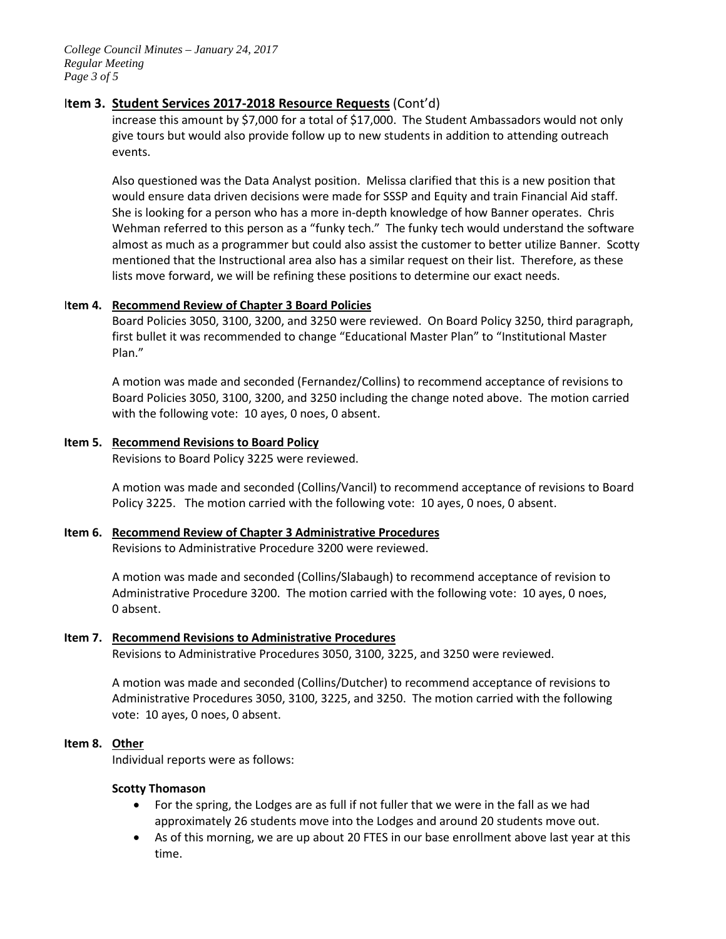*College Council Minutes – January 24, 2017 Regular Meeting Page 3 of 5*

# I**tem 3. Student Services 2017-2018 Resource Requests** (Cont'd)

increase this amount by \$7,000 for a total of \$17,000. The Student Ambassadors would not only give tours but would also provide follow up to new students in addition to attending outreach events.

Also questioned was the Data Analyst position. Melissa clarified that this is a new position that would ensure data driven decisions were made for SSSP and Equity and train Financial Aid staff. She is looking for a person who has a more in-depth knowledge of how Banner operates. Chris Wehman referred to this person as a "funky tech." The funky tech would understand the software almost as much as a programmer but could also assist the customer to better utilize Banner. Scotty mentioned that the Instructional area also has a similar request on their list. Therefore, as these lists move forward, we will be refining these positions to determine our exact needs.

## I**tem 4. Recommend Review of Chapter 3 Board Policies**

Board Policies 3050, 3100, 3200, and 3250 were reviewed. On Board Policy 3250, third paragraph, first bullet it was recommended to change "Educational Master Plan" to "Institutional Master Plan."

A motion was made and seconded (Fernandez/Collins) to recommend acceptance of revisions to Board Policies 3050, 3100, 3200, and 3250 including the change noted above. The motion carried with the following vote: 10 ayes, 0 noes, 0 absent.

# **Item 5. Recommend Revisions to Board Policy**

Revisions to Board Policy 3225 were reviewed.

A motion was made and seconded (Collins/Vancil) to recommend acceptance of revisions to Board Policy 3225. The motion carried with the following vote: 10 ayes, 0 noes, 0 absent.

# **Item 6. Recommend Review of Chapter 3 Administrative Procedures**

Revisions to Administrative Procedure 3200 were reviewed.

A motion was made and seconded (Collins/Slabaugh) to recommend acceptance of revision to Administrative Procedure 3200. The motion carried with the following vote: 10 ayes, 0 noes, 0 absent.

# **Item 7. Recommend Revisions to Administrative Procedures**

Revisions to Administrative Procedures 3050, 3100, 3225, and 3250 were reviewed.

A motion was made and seconded (Collins/Dutcher) to recommend acceptance of revisions to Administrative Procedures 3050, 3100, 3225, and 3250. The motion carried with the following vote: 10 ayes, 0 noes, 0 absent.

### **Item 8. Other**

Individual reports were as follows:

### **Scotty Thomason**

- For the spring, the Lodges are as full if not fuller that we were in the fall as we had approximately 26 students move into the Lodges and around 20 students move out.
- As of this morning, we are up about 20 FTES in our base enrollment above last year at this time.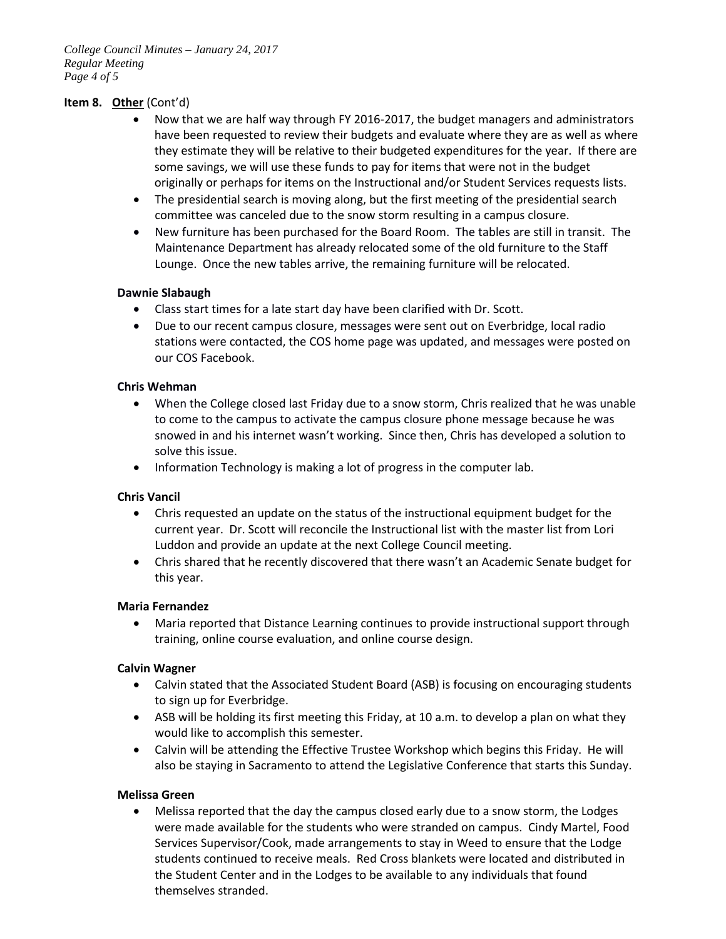*College Council Minutes – January 24, 2017 Regular Meeting Page 4 of 5*

# **Item 8. Other** (Cont'd)

- Now that we are half way through FY 2016-2017, the budget managers and administrators have been requested to review their budgets and evaluate where they are as well as where they estimate they will be relative to their budgeted expenditures for the year. If there are some savings, we will use these funds to pay for items that were not in the budget originally or perhaps for items on the Instructional and/or Student Services requests lists.
- The presidential search is moving along, but the first meeting of the presidential search committee was canceled due to the snow storm resulting in a campus closure.
- New furniture has been purchased for the Board Room. The tables are still in transit. The Maintenance Department has already relocated some of the old furniture to the Staff Lounge. Once the new tables arrive, the remaining furniture will be relocated.

### **Dawnie Slabaugh**

- Class start times for a late start day have been clarified with Dr. Scott.
- Due to our recent campus closure, messages were sent out on Everbridge, local radio stations were contacted, the COS home page was updated, and messages were posted on our COS Facebook.

## **Chris Wehman**

- When the College closed last Friday due to a snow storm, Chris realized that he was unable to come to the campus to activate the campus closure phone message because he was snowed in and his internet wasn't working. Since then, Chris has developed a solution to solve this issue.
- Information Technology is making a lot of progress in the computer lab.

### **Chris Vancil**

- Chris requested an update on the status of the instructional equipment budget for the current year. Dr. Scott will reconcile the Instructional list with the master list from Lori Luddon and provide an update at the next College Council meeting.
- Chris shared that he recently discovered that there wasn't an Academic Senate budget for this year.

### **Maria Fernandez**

• Maria reported that Distance Learning continues to provide instructional support through training, online course evaluation, and online course design.

### **Calvin Wagner**

- Calvin stated that the Associated Student Board (ASB) is focusing on encouraging students to sign up for Everbridge.
- ASB will be holding its first meeting this Friday, at 10 a.m. to develop a plan on what they would like to accomplish this semester.
- Calvin will be attending the Effective Trustee Workshop which begins this Friday. He will also be staying in Sacramento to attend the Legislative Conference that starts this Sunday.

### **Melissa Green**

• Melissa reported that the day the campus closed early due to a snow storm, the Lodges were made available for the students who were stranded on campus. Cindy Martel, Food Services Supervisor/Cook, made arrangements to stay in Weed to ensure that the Lodge students continued to receive meals. Red Cross blankets were located and distributed in the Student Center and in the Lodges to be available to any individuals that found themselves stranded.